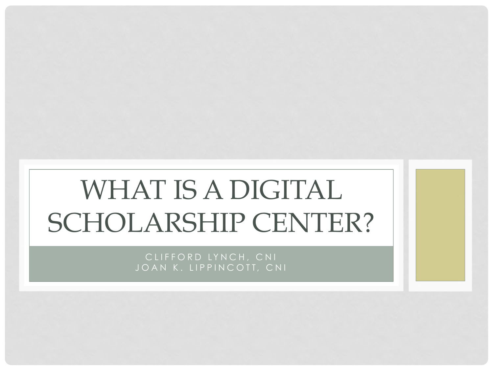# WHAT IS A DIGITAL SCHOLARSHIP CENTER?

CLIFFORD LYNCH, CNI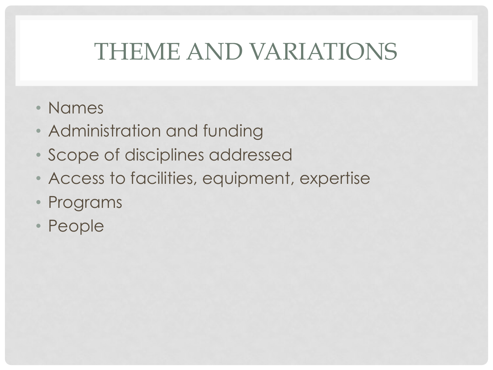## THEME AND VARIATIONS

- Names
- Administration and funding
- Scope of disciplines addressed
- Access to facilities, equipment, expertise
- Programs
- People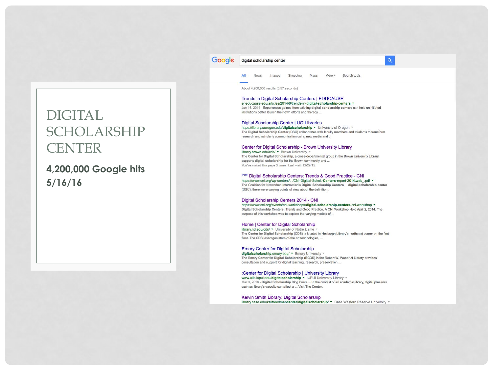### DIGITAL SCHOLARSHIP **CENTER**

**4,200,000 Google hits 5/16/16** 

### Google digital scholarship center

All **News** Images Shopping Maps More \* Search tools

About 4,200,000 results (0.57 seconds)

### Trends in Digital Scholarship Centers | EDUCAUSE

er.educause.edu/articles/2014/6/trends-in-digital-scholarship-centers ▼ Jun 16, 2014 - Experiences gained from existing digital scholarship centers can help uninitiated institutions better launch their own efforts and thereby ...

 $\alpha$ 

#### Digital Scholarship Center | UO Libraries

https://library.uoregon.edu/digitalscholarship v University of Oregon v The Digital Scholarship Center (DSC) collaborates with faculty members and students to transform research and scholarly communication using new media and ...

### Center for Digital Scholarship - Brown University Library

library.brown.edu/cds/ • Brown University \* The Center for Digital Scholarship, a cross-departmental group in the Brown University Library, supports digital scholarship for the Brown community and ... You've visited this page 3 times. Last visit: 12/29/15

#### <sup>[PDF]</sup> Digital Scholarship Centers: Trends & Good Practice - CNI

https://www.cni.org/wp-content/.../CNI-Digitial-Schol.-Centers-report-2014.web\_.pdf = The Coalition for Networked Information's Digital Scholarship Centers ... digital scholarship center (DSC); there were varying points of view about the definition,.

#### Digital Scholarship Centers 2014 - CNI

https://www.cni.org/events/cni-workshops/digital-scholarship-centers-cni-workshop v Digital Scholarship Centers: Trends and Good Practice. A CNI Workshop Held April 2, 2014. The purpose of this workshop was to explore the varying models of ...

### Home | Center for Digital Scholarship

library.nd.edu/cds/ v University of Notre Dame The Center for Digital Scholarship (CDS) is located in Hesburgh Library's northeast corner on the first floor. The CDS leverages state-of-the art technologies, ...

#### **Emory Center for Digital Scholarship**

digitalscholarship.emory.edu/ • Emory University • The Emory Center for Digital Scholarship (ECDS) in the Robert W. Woodruff Library provides consultation and support for digital teaching, research, preservation ...

#### :Center for Digital Scholarship | University Library

www.ulib.iupui.edu/digitalscholarship v IUPUI University Library v Mar 3, 2016 - Digital Scholarship Blog Posts ... In the context of an academic library, digital presence such as library's website can affect a ... Visit The Center.

Kelvin Smith Library: Digital Scholarship library.case.edu/ksl/freedmancenter/digitalscholarship/ v Case Western Reserve University v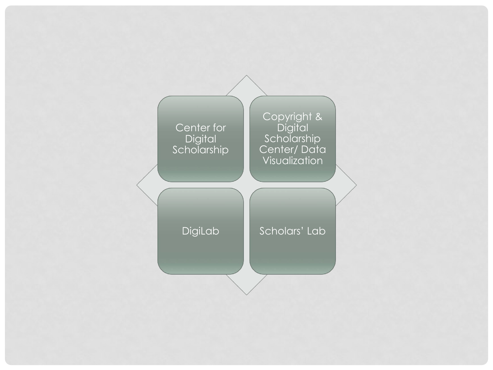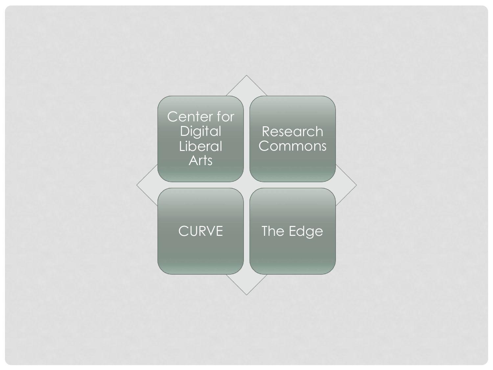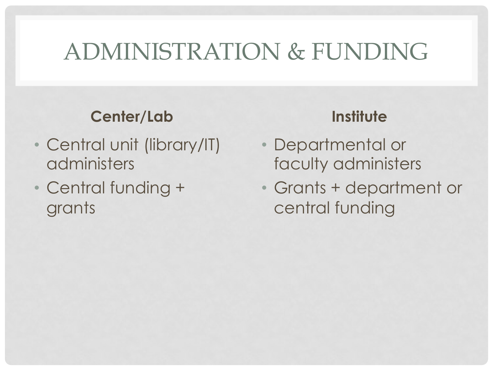## ADMINISTRATION & FUNDING

### **Center/Lab**

- Central unit (library/IT) administers
- Central funding + grants

- Departmental or faculty administers
- Grants + department or central funding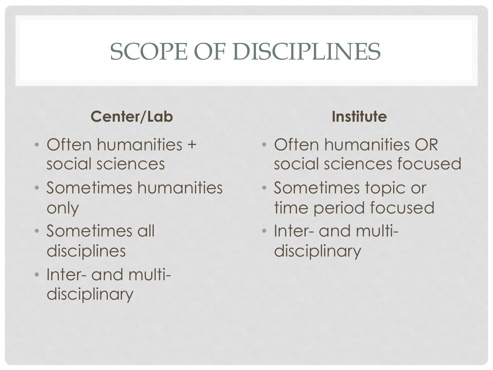## SCOPE OF DISCIPLINES

### **Center/Lab**

- Often humanities + social sciences
- Sometimes humanities only
- Sometimes all disciplines
- Inter- and multidisciplinary

- Often humanities OR social sciences focused
- Sometimes topic or time period focused
- Inter- and multidisciplinary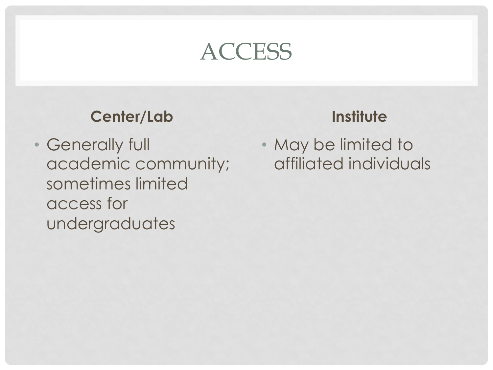## **ACCESS**

### **Center/Lab**

• Generally full academic community; sometimes limited access for undergraduates

### **Institute**

• May be limited to affiliated individuals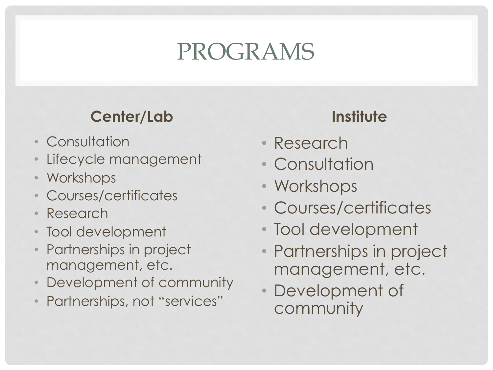## PROGRAMS

## **Center/Lab**

- Consultation
- Lifecycle management
- Workshops
- Courses/certificates
- Research
- Tool development
- Partnerships in project management, etc.
- Development of community
- Partnerships, not "services"

- Research
- Consultation
- Workshops
- Courses/certificates
- Tool development
- Partnerships in project management, etc.
- Development of community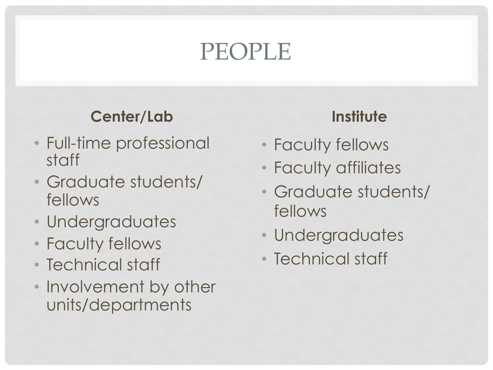## PEOPLE

## **Center/Lab**

- Full-time professional staff
- Graduate students/ fellows
- Undergraduates
- Faculty fellows
- Technical staff
- Involvement by other units/departments

- Faculty fellows
- Faculty affiliates
- Graduate students/ fellows
- Undergraduates
- Technical staff